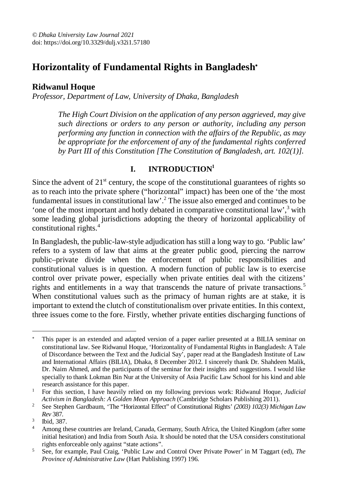# **Horizontality of Fundamental Rights in Bangladesh**

# **Ridwanul Hoque**

*Professor, Department of Law, University of Dhaka, Bangladesh*

*The High Court Division on the application of any person aggrieved, may give such directions or orders to any person or authority, including any person performing any function in connection with the affairs of the Republic, as may be appropriate for the enforcement of any of the fundamental rights conferred by Part III of this Constitution [The Constitution of Bangladesh, art. 102(1)].*

# **I. INTRODUCTION<sup>1</sup>**

Since the advent of  $21<sup>st</sup>$  century, the scope of the constitutional guarantees of rights so as to reach into the private sphere ("horizontal" impact) has been one of the 'the most fundamental issues in constitutional law'.<sup>2</sup> The issue also emerged and continues to be 'one of the most important and hotly debated in comparative constitutional law',  $3$  with some leading global jurisdictions adopting the theory of horizontal applicability of constitutional rights.<sup>4</sup>

In Bangladesh, the public-law-style adjudication has still a long way to go. 'Public law' refers to a system of law that aims at the greater public good, piercing the narrow public–private divide when the enforcement of public responsibilities and constitutional values is in question. A modern function of public law is to exercise control over private power, especially when private entities deal with the citizens' rights and entitlements in a way that transcends the nature of private transactions.<sup>5</sup> When constitutional values such as the primacy of human rights are at stake, it is important to extend the clutch of constitutionalism over private entities. In this context, three issues come to the fore. Firstly, whether private entities discharging functions of

 $\overline{a}$  This paper is an extended and adapted version of a paper earlier presented at a BILIA seminar on constitutional law. See Ridwanul Hoque, 'Horizontality of Fundamental Rights in Bangladesh: A Tale of Discordance between the Text and the Judicial Say', paper read at the Bangladesh Institute of Law and International Affairs (BILIA), Dhaka, 8 December 2012. I sincerely thank Dr. Shahdeen Malik, Dr. Naim Ahmed, and the participants of the seminar for their insights and suggestions. I would like specially to thank Lokman Bin Nur at the University of Asia Pacific Law School for his kind and able research assistance for this paper.

<sup>1</sup> For this section, I have heavily relied on my following previous work: Ridwanul Hoque, *Judicial Activism in Bangladesh: A Golden Mean Approach* (Cambridge Scholars Publishing 2011).

<sup>2</sup> See Stephen Gardbaum, 'The "Horizontal Effect" of Constitutional Rights' *(2003) 102(3) Michigan Law Rev* 387.

<sup>3</sup> Ibid, 387.

<sup>4</sup> Among these countries are Ireland, Canada, Germany, South Africa, the United Kingdom (after some initial hesitation) and India from South Asia. It should be noted that the USA considers constitutional rights enforceable only against "state actions".

<sup>5</sup> See, for example, Paul Craig, 'Public Law and Control Over Private Power' in M Taggart (ed), *The Province of Administrative Law* (Hart Publishing 1997) 196.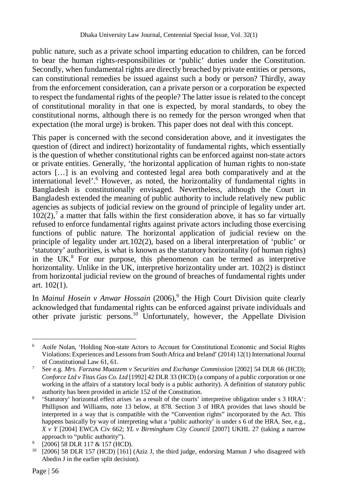public nature, such as a private school imparting education to children, can be forced to bear the human rights-responsibilities or 'public' duties under the Constitution. Secondly, when fundamental rights are directly breached by private entities or persons, can constitutional remedies be issued against such a body or person? Thirdly, away from the enforcement consideration, can a private person or a corporation be expected to respect the fundamental rights of the people? The latter issue is related to the concept of constitutional morality in that one is expected, by moral standards, to obey the constitutional norms, although there is no remedy for the person wronged when that expectation (the moral urge) is broken. This paper does not deal with this concept.

This paper is concerned with the second consideration above, and it investigates the question of (direct and indirect) horizontality of fundamental rights, which essentially is the question of whether constitutional rights can be enforced against non-state actors or private entities. Generally, 'the horizontal application of human rights to non-state actors […] is an evolving and contested legal area both comparatively and at the international level'.<sup>6</sup> However, as noted, the horizontality of fundamental rights in Bangladesh is constitutionally envisaged. Nevertheless, although the Court in Bangladesh extended the meaning of public authority to include relatively new public agencies as subjects of judicial review on the ground of principle of legality under art.  $102(2)$ ,<sup>7</sup> a matter that falls within the first consideration above, it has so far virtually refused to enforce fundamental rights against private actors including those exercising functions of public nature. The horizontal application of judicial review on the principle of legality under art.102(2), based on a liberal interpretation of 'public' or 'statutory' authorities, is what is known as the statutory horizontality (of human rights) in the  $UK<sup>8</sup>$  For our purpose, this phenomenon can be termed as interpretive horizontality. Unlike in the UK, interpretive horizontality under art. 102(2) is distinct from horizontal judicial review on the ground of breaches of fundamental rights under art. 102(1).

In *Mainul Hosein v Anwar Hossain* (2006),<sup>9</sup> the High Court Division quite clearly acknowledged that fundamental rights can be enforced against private individuals and other private juristic persons.<sup>10</sup> Unfortunately, however, the Appellate Division

 $\overline{a}$ <sup>6</sup> Aoife Nolan, 'Holding Non-state Actors to Account for Constitutional Economic and Social Rights Violations: Experiences and Lessons from South Africa and Ireland' (2014) 12(1) International Journal of Constitutional Law 61, 61.

<sup>&</sup>lt;sup>7</sup> See e.g. Mrs. Farzana Muazzem v Securities and Exchange Commission [2002] 54 DLR 66 (HCD); *Conforce Ltd v Titas Gas Co. Ltd* [1992] 42 DLR 33 (HCD) (a company of a public corporation or one working in the affairs of a statutory local body is a public authority). A definition of statutory public authority has been provided in article 152 of the Constitution.

<sup>8</sup> 'Statutory' horizontal effect arises 'as a result of the courts' interpretive obligation under s 3 HRA': Phillipson and Williams, note 13 below, at 878. Section 3 of HRA provides that laws should be interpreted in a way that is compatible with the "Convention rights" incorporated by the Act. This happens basically by way of interpreting what a 'public authority' is under s 6 of the HRA. See, e.g., *X v Y* [2004] EWCA Civ 662; *YL v Birmingham City Council* [2007] UKHL 27 (taking a narrow approach to "public authority").

<sup>9</sup> [2006] 58 DLR 117 & 157 (HCD).

 $10$  [2006] 58 DLR 157 (HCD) [161] (Aziz J, the third judge, endorsing Mamun J who disagreed with Abedin J in the earlier split decision).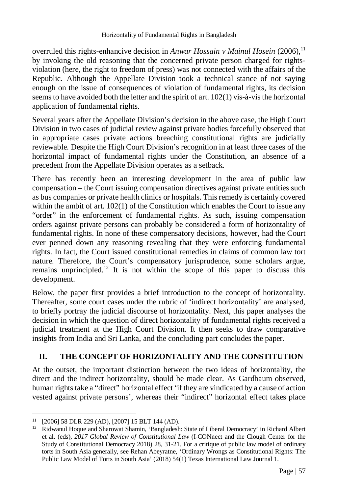overruled this rights-enhancive decision in *Anwar Hossain v Mainul Hosein* (2006),<sup>11</sup> by invoking the old reasoning that the concerned private person charged for rightsviolation (here, the right to freedom of press) was not connected with the affairs of the Republic. Although the Appellate Division took a technical stance of not saying enough on the issue of consequences of violation of fundamental rights, its decision seems to have avoided both the letter and the spirit of art. 102(1) vis-à-vis the horizontal application of fundamental rights.

Several years after the Appellate Division's decision in the above case, the High Court Division in two cases of judicial review against private bodies forcefully observed that in appropriate cases private actions breaching constitutional rights are judicially reviewable. Despite the High Court Division's recognition in at least three cases of the horizontal impact of fundamental rights under the Constitution, an absence of a precedent from the Appellate Division operates as a setback.

There has recently been an interesting development in the area of public law compensation – the Court issuing compensation directives against private entities such as bus companies or private health clinics or hospitals. This remedy is certainly covered within the ambit of art.  $102(1)$  of the Constitution which enables the Court to issue any "order" in the enforcement of fundamental rights. As such, issuing compensation orders against private persons can probably be considered a form of horizontality of fundamental rights. In none of these compensatory decisions, however, had the Court ever penned down any reasoning revealing that they were enforcing fundamental rights. In fact, the Court issued constitutional remedies in claims of common law tort nature. Therefore, the Court's compensatory jurisprudence, some scholars argue, remains unprincipled.<sup>12</sup> It is not within the scope of this paper to discuss this development.

Below, the paper first provides a brief introduction to the concept of horizontality. Thereafter, some court cases under the rubric of 'indirect horizontality' are analysed, to briefly portray the judicial discourse of horizontality. Next, this paper analyses the decision in which the question of direct horizontality of fundamental rights received a judicial treatment at the High Court Division. It then seeks to draw comparative insights from India and Sri Lanka, and the concluding part concludes the paper.

# **II. THE CONCEPT OF HORIZONTALITY AND THE CONSTITUTION**

At the outset, the important distinction between the two ideas of horizontality, the direct and the indirect horizontality, should be made clear. As Gardbaum observed, human rights take a "direct" horizontal effect 'if they are vindicated by a cause of action vested against private persons', whereas their "indirect" horizontal effect takes place

 $\overline{a}$  $11$  [2006] 58 DLR 229 (AD), [2007] 15 BLT 144 (AD).

<sup>&</sup>lt;sup>12</sup> Ridwanul Hoque and Sharowat Shamin, 'Bangladesh: State of Liberal Democracy' in Richard Albert et al. (eds), *2017 Global Review of Constitutional Law* (I-CONnect and the Clough Center for the Study of Constitutional Democracy 2018) 28, 31-21. For a critique of public law model of ordinary torts in South Asia generally, see Rehan Abeyratne, 'Ordinary Wrongs as Constitutional Rights: The Public Law Model of Torts in South Asia' (2018) 54(1) Texas International Law Journal 1.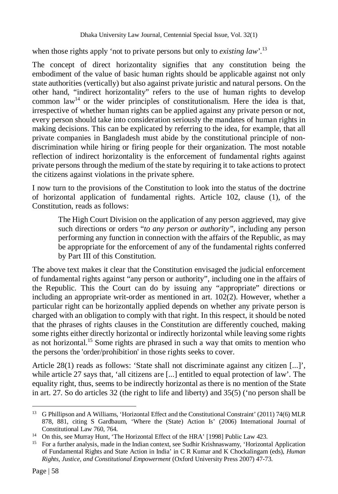when those rights apply 'not to private persons but only to *existing law*'.<sup>13</sup>

The concept of direct horizontality signifies that any constitution being the embodiment of the value of basic human rights should be applicable against not only state authorities (vertically) but also against private juristic and natural persons. On the other hand, "indirect horizontality" refers to the use of human rights to develop common law<sup>14</sup> or the wider principles of constitutionalism. Here the idea is that, irrespective of whether human rights can be applied against any private person or not, every person should take into consideration seriously the mandates of human rights in making decisions. This can be explicated by referring to the idea, for example, that all private companies in Bangladesh must abide by the constitutional principle of nondiscrimination while hiring or firing people for their organization. The most notable reflection of indirect horizontality is the enforcement of fundamental rights against private persons through the medium of the state by requiring it to take actions to protect the citizens against violations in the private sphere.

I now turn to the provisions of the Constitution to look into the status of the doctrine of horizontal application of fundamental rights. Article 102, clause (1), of the Constitution, reads as follows:

The High Court Division on the application of any person aggrieved, may give such directions or orders "*to any person or authority"*, including any person performing any function in connection with the affairs of the Republic, as may be appropriate for the enforcement of any of the fundamental rights conferred by Part III of this Constitution.

The above text makes it clear that the Constitution envisaged the judicial enforcement of fundamental rights against "any person or authority", including one in the affairs of the Republic. This the Court can do by issuing any "appropriate" directions or including an appropriate writ-order as mentioned in art. 102(2). However, whether a particular right can be horizontally applied depends on whether any private person is charged with an obligation to comply with that right. In this respect, it should be noted that the phrases of rights clauses in the Constitution are differently couched, making some rights either directly horizontal or indirectly horizontal while leaving some rights as not horizontal.<sup>15</sup> Some rights are phrased in such a way that omits to mention who the persons the 'order/prohibition' in those rights seeks to cover.

Article 28(1) reads as follows: 'State shall not discriminate against any citizen [...]', while article 27 says that, 'all citizens are [...] entitled to equal protection of law'. The equality right, thus, seems to be indirectly horizontal as there is no mention of the State in art. 27. So do articles 32 (the right to life and liberty) and 35(5) ('no person shall be

 $13<sup>7</sup>$ <sup>13</sup> G Phillipson and A Williams, 'Horizontal Effect and the Constitutional Constraint' (2011) 74(6) MLR 878, 881, citing S Gardbaum, 'Where the (State) Action Is' (2006) International Journal of Constitutional Law 760, 764.

<sup>&</sup>lt;sup>14</sup> On this, see Murray Hunt, 'The Horizontal Effect of the HRA' [1998] Public Law 423.

<sup>&</sup>lt;sup>15</sup> For a further analysis, made in the Indian context, see Sudhir Krishnaswamy, 'Horizontal Application of Fundamental Rights and State Action in India' in C R Kumar and K Chockalingam (eds), *Human Rights, Justice, and Constitutional Empowerment* (Oxford University Press 2007) 47-73.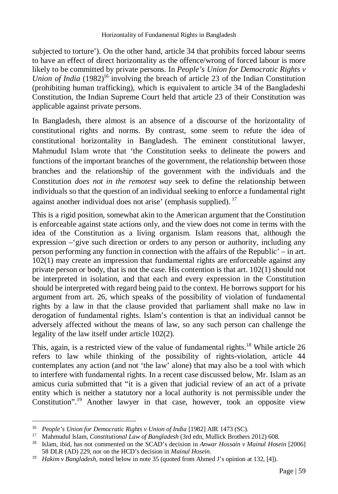subjected to torture'). On the other hand, article 34 that prohibits forced labour seems to have an effect of direct horizontality as the offence/wrong of forced labour is more likely to be committed by private persons. In *People's Union for Democratic Rights v Union of India* (1982)<sup>16</sup> involving the breach of article 23 of the Indian Constitution (prohibiting human trafficking), which is equivalent to article 34 of the Bangladeshi Constitution, the Indian Supreme Court held that article 23 of their Constitution was applicable against private persons.

In Bangladesh, there almost is an absence of a discourse of the horizontality of constitutional rights and norms. By contrast, some seem to refute the idea of constitutional horizontality in Bangladesh. The eminent constitutional lawyer, Mahmudul Islam wrote that 'the Constitution seeks to delineate the powers and functions of the important branches of the government, the relationship between those branches and the relationship of the government with the individuals and the Constitution *does not in the remotest way* seek to define the relationship between individuals so that the question of an individual seeking to enforce a fundamental right against another individual does not arise' (emphasis supplied).  $17$ 

This is a rigid position, somewhat akin to the American argument that the Constitution is enforceable against state actions only, and the view does not come in terms with the idea of the Constitution as a living organism. Islam reasons that, although the expression –'give such direction or orders to any person or authority, including any person performing any function in connection with the affairs of the Republic' – in art. 102(1) may create an impression that fundamental rights are enforceable against any private person or body, that is not the case. His contention is that art. 102(1) should not be interpreted in isolation, and that each and every expression in the Constitution should be interpreted with regard being paid to the context. He borrows support for his argument from art. 26, which speaks of the possibility of violation of fundamental rights by a law in that the clause provided that parliament shall make no law in derogation of fundamental rights. Islam's contention is that an individual cannot be adversely affected without the means of law, so any such person can challenge the legality of the law itself under article 102(2).

This, again, is a restricted view of the value of fundamental rights.<sup>18</sup> While article 26 refers to law while thinking of the possibility of rights-violation, article 44 contemplates any action (and not 'the law' alone) that may also be a tool with which to interfere with fundamental rights. In a recent case discussed below, Mr. Islam as an amicus curia submitted that "it is a given that judicial review of an act of a private entity which is neither a statutory nor a local authority is not permissible under the Constitution".<sup>19</sup> Another lawyer in that case, however, took an opposite view

 $\overline{a}$ <sup>16</sup> *People's Union for Democratic Rights v Union of India* [1982] AIR 1473 (SC).

<sup>17</sup> Mahmudul Islam, *Constitutional Law of Bangladesh* (3rd edn, Mullick Brothers 2012) 608.

<sup>18</sup> Islam, ibid, has not commented on the SCAD's decision in *Anwar Hossain v Mainul Hosein* [2006] 58 DLR (AD) 229, nor on the HCD's decision in *Mainul Hosein.*

<sup>19</sup> *Hakim v Bangladesh*, noted below in note 35 (quoted from Ahmed J's opinion at 132, [4]).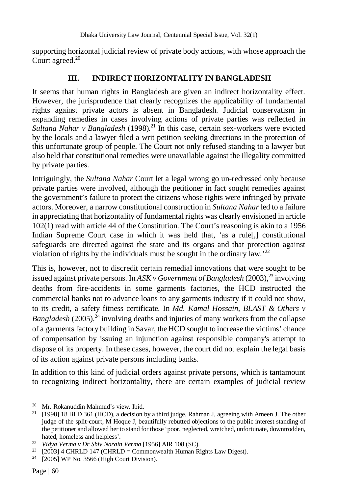supporting horizontal judicial review of private body actions, with whose approach the Court agreed.<sup>20</sup>

# **III. INDIRECT HORIZONTALITY IN BANGLADESH**

It seems that human rights in Bangladesh are given an indirect horizontality effect. However, the jurisprudence that clearly recognizes the applicability of fundamental rights against private actors is absent in Bangladesh. Judicial conservatism in expanding remedies in cases involving actions of private parties was reflected in *Sultana Nahar v Bangladesh* (1998)*.* <sup>21</sup> In this case, certain sex-workers were evicted by the locals and a lawyer filed a writ petition seeking directions in the protection of this unfortunate group of people. The Court not only refused standing to a lawyer but also held that constitutional remedies were unavailable against the illegality committed by private parties.

Intriguingly, the *Sultana Nahar* Court let a legal wrong go un-redressed only because private parties were involved, although the petitioner in fact sought remedies against the government's failure to protect the citizens whose rights were infringed by private actors. Moreover, a narrow constitutional construction in *Sultana Nahar* led to a failure in appreciating that horizontality of fundamental rights was clearly envisioned in article 102(1) read with article 44 of the Constitution. The Court's reasoning is akin to a 1956 Indian Supreme Court case in which it was held that, 'as a rule[,] constitutional safeguards are directed against the state and its organs and that protection against violation of rights by the individuals must be sought in the ordinary law.'<sup>22</sup>

This is, however, not to discredit certain remedial innovations that were sought to be issued against private persons. In *ASK v Government of Bangladesh* (2003),<sup>23</sup> involving deaths from fire-accidents in some garments factories, the HCD instructed the commercial banks not to advance loans to any garments industry if it could not show, to its credit, a safety fitness certificate. In *Md. Kamal Hossain*, *BLAST & Others v Bangladesh* (2005)<sup>24</sup> involving deaths and injuries of many workers from the collapse of a garments factory building in Savar, the HCD sought to increase the victims' chance of compensation by issuing an injunction against responsible company's attempt to dispose of its property. In these cases, however, the court did not explain the legal basis of its action against private persons including banks.

In addition to this kind of judicial orders against private persons, which is tantamount to recognizing indirect horizontality, there are certain examples of judicial review

 $\overline{a}$ <sup>20</sup> Mr. Rokanuddin Mahmud's view. Ibid.

 $21$  [1998] 18 BLD 361 (HCD), a decision by a third judge, Rahman J, agreeing with Ameen J. The other judge of the split-court, M Hoque J, beautifully rebutted objections to the public interest standing of the petitioner and allowed her to stand for those 'poor, neglected, wretched, unfortunate, downtrodden, hated, homeless and helpless'.

<sup>22</sup> *Vidya Verma v Dr Shiv Narain Verma* [1956] AIR 108 (SC).

<sup>&</sup>lt;sup>23</sup> [2003] 4 CHRLD 147 (CHRLD = Commonwealth Human Rights Law Digest).

<sup>24</sup> [2005] WP No. 3566 (High Court Division).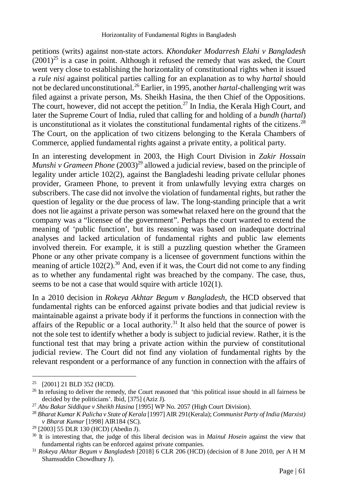petitions (writs) against non-state actors. *Khondaker Modarresh Elahi v Bangladesh*   $(2001)^{25}$  is a case in point. Although it refused the remedy that was asked, the Court went very close to establishing the horizontality of constitutional rights when it issued a *rule nisi* against political parties calling for an explanation as to why *hartal* should not be declared unconstitutional.<sup>26</sup> Earlier, in 1995, another *hartal*-challenging writ was filed against a private person, Ms. Sheikh Hasina, the then Chief of the Oppositions. The court, however, did not accept the petition.<sup>27</sup> In India, the Kerala High Court, and later the Supreme Court of India, ruled that calling for and holding of a *bundh* (*hartal*) is unconstitutional as it violates the constitutional fundamental rights of the citizens.<sup>28</sup> The Court, on the application of two citizens belonging to the Kerala Chambers of Commerce, applied fundamental rights against a private entity, a political party.

In an interesting development in 2003, the High Court Division in *Zakir Hossain Munshi v Grameen Phone*  $(2003)^{29}$  allowed a judicial review, based on the principle of legality under article 102(2), against the Bangladeshi leading private cellular phones provider, Grameen Phone, to prevent it from unlawfully levying extra charges on subscribers. The case did not involve the violation of fundamental rights, but rather the question of legality or the due process of law. The long-standing principle that a writ does not lie against a private person was somewhat relaxed here on the ground that the company was a "licensee of the government". Perhaps the court wanted to extend the meaning of 'public function', but its reasoning was based on inadequate doctrinal analyses and lacked articulation of fundamental rights and public law elements involved therein. For example, it is still a puzzling question whether the Grameen Phone or any other private company is a licensee of government functions within the meaning of article  $102(2)$ .<sup>30</sup> And, even if it was, the Court did not come to any finding as to whether any fundamental right was breached by the company. The case, thus, seems to be not a case that would squire with article 102(1).

In a 2010 decision in *Rokeya Akhtar Begum v Bangladesh,* the HCD observed that fundamental rights can be enforced against private bodies and that judicial review is maintainable against a private body if it performs the functions in connection with the affairs of the Republic or a 1ocal authority.<sup>31</sup> It also held that the source of power is not the sole test to identify whether a body is subject to judicial review. Rather, it is the functional test that may bring a private action within the purview of constitutional judicial review. The Court did not find any violation of fundamental rights by the relevant respondent or a performance of any function in connection with the affairs of

<sup>25</sup> [2001] 21 BLD 352 (HCD).

<sup>&</sup>lt;sup>26</sup> In refusing to deliver the remedy, the Court reasoned that 'this political issue should in all fairness be decided by the politicians'. Ibid, [375] (Aziz J).

<sup>27</sup> *Abu Bakar Siddique v Sheikh Hasina* [1995] WP No. 2057 (High Court Division).

<sup>28</sup> *Bharat Kumar K Palicha v State of Kerala* [1997] AIR 291(Kerala); *Communist Party of India (Marxist) v Bharat Kumar* [1998] AIR184 (SC).

<sup>29</sup> [2003] 55 DLR 130 (HCD) (Abedin J).

<sup>30</sup> It is interesting that, the judge of this liberal decision was in *Mainul Hosein* against the view that fundamental rights can be enforced against private companies.

<sup>31</sup> *Rokeya Akhtar Begum v Bangladesh* [2018] 6 CLR 206 (HCD) (decision of 8 June 2010, per A H M Shamsuddin Chowdhury J).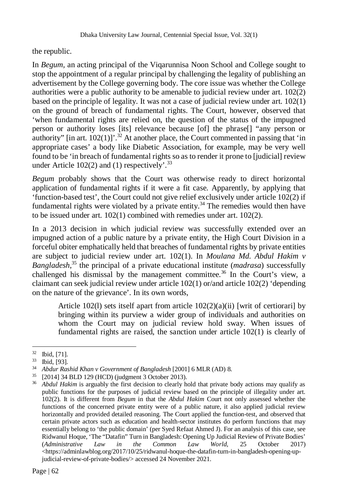the republic.

In *Begum,* an acting principal of the Viqarunnisa Noon School and College sought to stop the appointment of a regular principal by challenging the legality of publishing an advertisement by the College governing body. The core issue was whether the College authorities were a public authority to be amenable to judicial review under art.  $102(2)$ based on the principle of legality. It was not a case of judicial review under art.  $102(1)$ on the ground of breach of fundamental rights. The Court, however, observed that 'when fundamental rights are relied on, the question of the status of the impugned person or authority loses [its] relevance because [of] the phrase[] "any person or authority" [in art.  $102(1)$ ]'.<sup>32</sup> At another place, the Court commented in passing that 'in appropriate cases' a body like Diabetic Association, for example, may be very well found to be 'in breach of fundamental rights so as to render it prone to [judicial] review under Article 102(2) and (1) respectively'.  $33$ 

*Begum* probably shows that the Court was otherwise ready to direct horizontal application of fundamental rights if it were a fit case. Apparently, by applying that 'function-based test', the Court could not give relief exclusively under article 102(2) if fundamental rights were violated by a private entity.<sup>34</sup> The remedies would then have to be issued under art. 102(1) combined with remedies under art. 102(2).

In a 2013 decision in which judicial review was successfully extended over an impugned action of a public nature by a private entity, the High Court Division in a forceful obiter emphatically held that breaches of fundamental rights by private entities are subject to judicial review under art. 102(1). In *Moulana Md. Abdul Hakim v Bangladesh*, <sup>35</sup> the principal of a private educational institute (*madrasa*) successfully challenged his dismissal by the management committee.<sup>36</sup> In the Court's view, a claimant can seek judicial review under article 102(1) or/and article 102(2) 'depending on the nature of the grievance'. In its own words,

Article 102(1) sets itself apart from article  $102(2)(a)(ii)$  [writ of certiorari] by bringing within its purview a wider group of individuals and authorities on whom the Court may on judicial review hold sway. When issues of fundamental rights are raised, the sanction under article 102(1) is clearly of

<sup>32</sup> Ibid, [71].

<sup>33</sup> Ibid, [93].

<sup>34</sup> *Abdur Rashid Khan v Government of Bangladesh* [2001] 6 MLR (AD) 8.

 $^{35}$  [2014] 34 BLD 129 (HCD) (judgment 3 October 2013).

Abdul Hakim is arguably the first decision to clearly hold that private body actions may qualify as public functions for the purposes of judicial review based on the principle of illegality under art. 102(2). It is different from *Begum* in that the *Abdul Hakim* Court not only assessed whether the functions of the concerned private entity were of a public nature, it also applied judicial review horizontally and provided detailed reasoning. The Court applied the function-test, and observed that certain private actors such as education and health-sector institutes do perform functions that may essentially belong to 'the public domain' (per Syed Refaat Ahmed J). For an analysis of this case, see Ridwanul Hoque, 'The "Datafin" Turn in Bangladesh: Opening Up Judicial Review of Private Bodies' (Administrative Law in the Common Law World, 25 October 2017) (*Administrative Law in the Common Law World,* 25 October 2017)  $\langle$ https://adminlawblog.org/2017/10/25/ridwanul-hoque-the-datafin-turn-in-bangladesh-opening-upjudicial-review-of-private-bodies/> accessed 24 November 2021.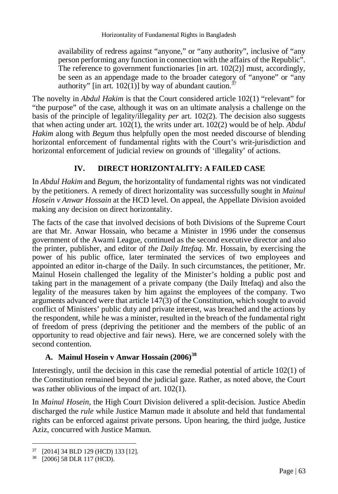availability of redress against "anyone," or "any authority", inclusive of "any person performing any function in connection with the affairs of the Republic". The reference to government functionaries [in art. 102(2)] must, accordingly, be seen as an appendage made to the broader category of "anyone" or "any authority" [in art. 102(1)] by way of abundant caution.<sup>37</sup>

The novelty in *Abdul Hakim* is that the Court considered article 102(1) "relevant" for "the purpose" of the case, although it was on an ultimate analysis a challenge on the basis of the principle of legality/illegality *per* art. 102(2). The decision also suggests that when acting under art. 102(1), the writs under art. 102(2) would be of help. *Abdul Hakim* along with *Begum* thus helpfully open the most needed discourse of blending horizontal enforcement of fundamental rights with the Court's writ-jurisdiction and horizontal enforcement of judicial review on grounds of 'illegality' of actions.

#### **IV. DIRECT HORIZONTALITY: A FAILED CASE**

In *Abdul Hakim* and *Begum*, the horizontality of fundamental rights was not vindicated by the petitioners. A remedy of direct horizontality was successfully sought in *Mainul Hosein v Anwar Hossain* at the HCD level. On appeal, the Appellate Division avoided making any decision on direct horizontality.

The facts of the case that involved decisions of both Divisions of the Supreme Court are that Mr. Anwar Hossain, who became a Minister in 1996 under the consensus government of the Awami League, continued as the second executive director and also the printer, publisher, and editor of *the Daily Ittefaq*. Mr. Hossain, by exercising the power of his public office, later terminated the services of two employees and appointed an editor in-charge of the Daily. In such circumstances, the petitioner, Mr. Mainul Hosein challenged the legality of the Minister's holding a public post and taking part in the management of a private company (the Daily Ittefaq) and also the legality of the measures taken by him against the employees of the company. Two arguments advanced were that article 147(3) of the Constitution, which sought to avoid conflict of Ministers' public duty and private interest, was breached and the actions by the respondent, while he was a minister, resulted in the breach of the fundamental right of freedom of press (depriving the petitioner and the members of the public of an opportunity to read objective and fair news). Here, we are concerned solely with the second contention.

#### **A. Mainul Hosein v Anwar Hossain (2006)<sup>38</sup>**

Interestingly, until the decision in this case the remedial potential of article 102(1) of the Constitution remained beyond the judicial gaze. Rather, as noted above, the Court was rather oblivious of the impact of art. 102(1).

In *Mainul Hosein,* the High Court Division delivered a split-decision. Justice Abedin discharged the *rule* while Justice Mamun made it absolute and held that fundamental rights can be enforced against private persons. Upon hearing, the third judge, Justice Aziz, concurred with Justice Mamun.

<sup>37</sup> [2014] 34 BLD 129 (HCD) 133 [12].

<sup>38</sup> [2006] 58 DLR 117 (HCD).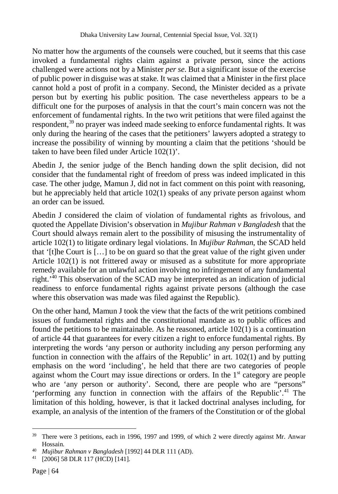No matter how the arguments of the counsels were couched, but it seems that this case invoked a fundamental rights claim against a private person, since the actions challenged were actions not by a Minister *per se*. But a significant issue of the exercise of public power in disguise was at stake. It was claimed that a Minister in the first place cannot hold a post of profit in a company. Second, the Minister decided as a private person but by exerting his public position. The case nevertheless appears to be a difficult one for the purposes of analysis in that the court's main concern was not the enforcement of fundamental rights. In the two writ petitions that were filed against the respondent,<sup>39</sup> no prayer was indeed made seeking to enforce fundamental rights. It was only during the hearing of the cases that the petitioners' lawyers adopted a strategy to increase the possibility of winning by mounting a claim that the petitions 'should be taken to have been filed under Article 102(1)'.

Abedin J, the senior judge of the Bench handing down the split decision, did not consider that the fundamental right of freedom of press was indeed implicated in this case. The other judge, Mamun J, did not in fact comment on this point with reasoning, but he appreciably held that article 102(1) speaks of any private person against whom an order can be issued.

Abedin J considered the claim of violation of fundamental rights as frivolous, and quoted the Appellate Division's observation in *Mujibur Rahman v Bangladesh* that the Court should always remain alert to the possibility of misusing the instrumentality of article 102(1) to litigate ordinary legal violations. In *Mujibur Rahman*, the SCAD held that '[t]he Court is  $[\dots]$  to be on guard so that the great value of the right given under Article 102(1) is not frittered away or misused as a substitute for more appropriate remedy available for an unlawful action involving no infringement of any fundamental right.'<sup>40</sup> This observation of the SCAD may be interpreted as an indication of judicial readiness to enforce fundamental rights against private persons (although the case where this observation was made was filed against the Republic).

On the other hand, Mamun J took the view that the facts of the writ petitions combined issues of fundamental rights and the constitutional mandate as to public offices and found the petitions to be maintainable. As he reasoned, article  $102(1)$  is a continuation of article 44 that guarantees for every citizen a right to enforce fundamental rights. By interpreting the words 'any person or authority including any person performing any function in connection with the affairs of the Republic' in art. 102(1) and by putting emphasis on the word 'including', he held that there are two categories of people against whom the Court may issue directions or orders. In the  $1<sup>st</sup>$  category are people who are 'any person or authority'. Second, there are people who are "persons" 'performing any function in connection with the affairs of the Republic'. <sup>41</sup> The limitation of this holding, however, is that it lacked doctrinal analyses including, for example, an analysis of the intention of the framers of the Constitution or of the global

l

<sup>&</sup>lt;sup>39</sup> There were 3 petitions, each in 1996, 1997 and 1999, of which 2 were directly against Mr. Anwar Hossain.

<sup>40</sup> *Mujibur Rahman v Bangladesh* [1992] 44 DLR 111 (AD).

<sup>41</sup> [2006] 58 DLR 117 (HCD) [141].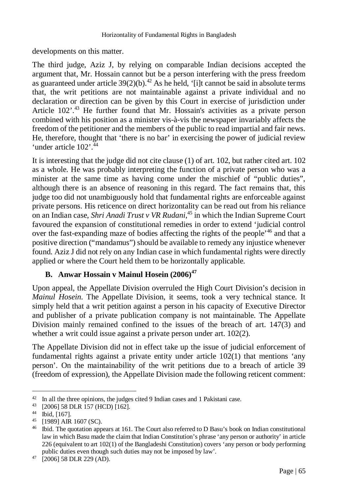developments on this matter.

The third judge, Aziz J, by relying on comparable Indian decisions accepted the argument that, Mr. Hossain cannot but be a person interfering with the press freedom as guaranteed under article  $39(2)(b)$ .<sup>42</sup> As he held, '[i]t cannot be said in absolute terms that, the writ petitions are not maintainable against a private individual and no declaration or direction can be given by this Court in exercise of jurisdiction under Article 102'.<sup>43</sup> He further found that Mr. Hossain's activities as a private person combined with his position as a minister vis-à-vis the newspaper invariably affects the freedom of the petitioner and the members of the public to read impartial and fair news. He, therefore, thought that 'there is no bar' in exercising the power of judicial review 'under article  $102$ <sup>'.  $44$ </sup>

It is interesting that the judge did not cite clause (1) of art. 102, but rather cited art. 102 as a whole. He was probably interpreting the function of a private person who was a minister at the same time as having come under the mischief of "public duties", although there is an absence of reasoning in this regard. The fact remains that, this judge too did not unambiguously hold that fundamental rights are enforceable against private persons. His reticence on direct horizontality can be read out from his reliance on an Indian case, *Shri Anadi Trust v VR Rudani*, <sup>45</sup> in which the Indian Supreme Court favoured the expansion of constitutional remedies in order to extend 'judicial control over the fast-expanding maze of bodies affecting the rights of the people<sup>'46</sup> and that a positive direction ("mandamus") should be available to remedy any injustice whenever found. Aziz J did not rely on any Indian case in which fundamental rights were directly applied or where the Court held them to be horizontally applicable.

# **B. Anwar Hossain v Mainul Hosein (2006)<sup>47</sup>**

Upon appeal, the Appellate Division overruled the High Court Division's decision in *Mainul Hosein*. The Appellate Division, it seems, took a very technical stance. It simply held that a writ petition against a person in his capacity of Executive Director and publisher of a private publication company is not maintainable. The Appellate Division mainly remained confined to the issues of the breach of art. 147(3) and whether a writ could issue against a private person under art. 102(2).

The Appellate Division did not in effect take up the issue of judicial enforcement of fundamental rights against a private entity under article 102(1) that mentions 'any person'. On the maintainability of the writ petitions due to a breach of article 39 (freedom of expression), the Appellate Division made the following reticent comment:

<sup>&</sup>lt;sup>42</sup> In all the three opinions, the judges cited 9 Indian cases and 1 Pakistani case.

<sup>43</sup> [2006] 58 DLR 157 (HCD) [162].

<sup>44</sup> Ibid, [167].

<sup>45</sup> [1989] AIR 1607 (SC).

<sup>46</sup> Ibid. The quotation appears at 161. The Court also referred to D Basu's book on Indian constitutional law in which Basu made the claim that Indian Constitution's phrase 'any person or authority' in article 226 (equivalent to art 102(1) of the Bangladeshi Constitution) covers 'any person or body performing public duties even though such duties may not be imposed by law'.

<sup>47</sup> [2006] 58 DLR 229 (AD).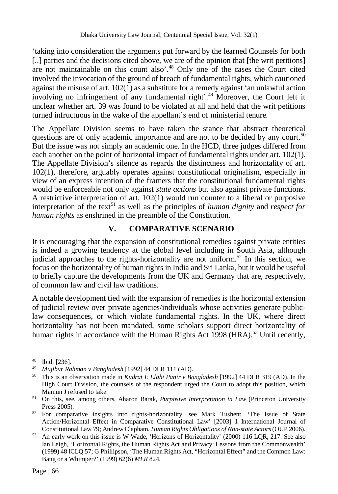'taking into consideration the arguments put forward by the learned Counsels for both [..] parties and the decisions cited above, we are of the opinion that [the writ petitions] are not maintainable on this count also'.<sup>48</sup> Only one of the cases the Court cited involved the invocation of the ground of breach of fundamental rights, which cautioned against the misuse of art. 102(1) as a substitute for a remedy against 'an unlawful action involving no infringement of any fundamental right'.<sup>49</sup> Moreover, the Court left it unclear whether art. 39 was found to be violated at all and held that the writ petitions turned infructuous in the wake of the appellant's end of ministerial tenure.

The Appellate Division seems to have taken the stance that abstract theoretical questions are of only academic importance and are not to be decided by any court.<sup>50</sup> But the issue was not simply an academic one. In the HCD, three judges differed from each another on the point of horizontal impact of fundamental rights under art. 102(1). The Appellate Division's silence as regards the distinctness and horizontality of art. 102(1), therefore, arguably operates against constitutional originalism, especially in view of an express intention of the framers that the constitutional fundamental rights would be enforceable not only against *state actions* but also against private functions. A restrictive interpretation of art. 102(1) would run counter to a liberal or purposive interpretation of the text<sup>51</sup> as well as the principles of *human dignity* and *respect for human rights* as enshrined in the preamble of the Constitution.

#### **V. COMPARATIVE SCENARIO**

It is encouraging that the expansion of constitutional remedies against private entities is indeed a growing tendency at the global level including in South Asia, although judicial approaches to the rights-horizontality are not uniform.<sup>52</sup> In this section, we focus on the horizontality of human rights in India and Sri Lanka, but it would be useful to briefly capture the developments from the UK and Germany that are, respectively, of common law and civil law traditions.

A notable development tied with the expansion of remedies is the horizontal extension of judicial review over private agencies/individuals whose activities generate publiclaw consequences, or which violate fundamental rights. In the UK, where direct horizontality has not been mandated, some scholars support direct horizontality of human rights in accordance with the Human Rights Act 1998 (HRA).<sup>53</sup> Until recently,

<sup>48</sup> Ibid, [236].

<sup>49</sup> *Mujibur Rahman v Bangladesh* [1992] 44 DLR 111 (AD).

<sup>50</sup> This is an observation made in *Kudrat E Elahi Panir v Bangladesh* [1992] 44 DLR 319 (AD). In the High Court Division, the counsels of the respondent urged the Court to adopt this position, which Mamun J refused to take.

<sup>51</sup> On this, see, among others, Aharon Barak, *Purposive Interpretation in Law* (Princeton University Press 2005).

<sup>52</sup> For comparative insights into rights-horizontality, see Mark Tushent, 'The Issue of State Action/Horizontal Effect in Comparative Constitutional Law' [2003] 1 International Journal of Constitutional Law 79; Andrew Clapham, *Human Rights Obligations of Non-state Actors*(OUP 2006).

<sup>53</sup> An early work on this issue is W Wade, 'Horizons of Horizontality' (2000) 116 LQR, 217. See also Ian Leigh, 'Horizontal Rights, the Human Rights Act and Privacy: Lessons from the Commonwealth' (1999) 48 ICLQ 57; G Phillipson, 'The Human Rights Act, "Horizontal Effect" and the Common Law: Bang or a Whimper?' (1999) 62(6) *MLR* 824.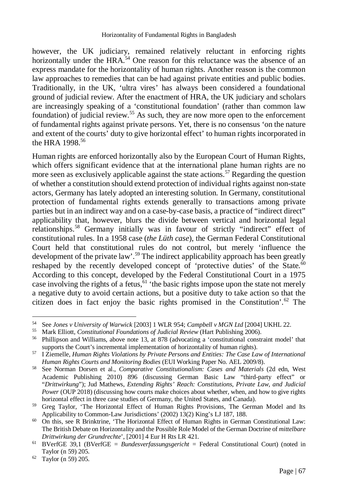however, the UK judiciary, remained relatively reluctant in enforcing rights horizontally under the  $HRA<sup>54</sup>$  One reason for this reluctance was the absence of an express mandate for the horizontality of human rights. Another reason is the common law approaches to remedies that can be had against private entities and public bodies. Traditionally, in the UK, 'ultra vires' has always been considered a foundational ground of judicial review. After the enactment of HRA, the UK judiciary and scholars are increasingly speaking of a 'constitutional foundation' (rather than common law foundation) of judicial review.<sup>55</sup> As such, they are now more open to the enforcement of fundamental rights against private persons. Yet, there is no consensus 'on the nature and extent of the courts' duty to give horizontal effect' to human rights incorporated in the HRA 1998.<sup>56</sup>

Human rights are enforced horizontally also by the European Court of Human Rights, which offers significant evidence that at the international plane human rights are no more seen as exclusively applicable against the state actions.<sup>57</sup> Regarding the question of whether a constitution should extend protection of individual rights against non-state actors, Germany has lately adopted an interesting solution. In Germany, constitutional protection of fundamental rights extends generally to transactions among private parties but in an indirect way and on a case-by-case basis, a practice of "indirect direct" applicability that, however, blurs the divide between vertical and horizontal legal relationships.<sup>58</sup> Germany initially was in favour of strictly "indirect" effect of constitutional rules. In a 1958 case (*the Lüth case*), the German Federal Constitutional Court held that constitutional rules do not control, but merely 'influence the development of the private law'.<sup>59</sup> The indirect applicability approach has been greatly reshaped by the recently developed concept of 'protective duties' of the State.<sup>60</sup> According to this concept, developed by the Federal Constitutional Court in a 1975 case involving the rights of a fetus, $61$  'the basic rights impose upon the state not merely a negative duty to avoid certain actions, but a positive duty to take action so that the citizen does in fact enjoy the basic rights promised in the Constitution'. $^{62}$  The

 $\overline{a}$ <sup>54</sup> See *Jones v University of Warwick* [2003] 1 WLR 954; *Campbell v MGN Ltd* [2004] UKHL 22.

<sup>55</sup> Mark Elliott, *Constitutional Foundations of Judicial Review* (Hart Publishing 2006).

<sup>56</sup> Phillipson and Williams, above note 13, at 878 (advocating a 'constitutional constraint model' that supports the Court's incremental implementation of horizontality of human rights).

<sup>57</sup> I Ziemelle, *Human Rights Violations by Private Persons and Entities: The Case Law of International Human Rights Courts and Monitoring Bodies* (EUI Working Paper No. AEL 2009/8).

<sup>58</sup> See Norman Dorsen et al., *Comparative Constitutionalism: Cases and Materials* (2d edn, West Academic Publishing 2010) 896 (discussing German Basic Law "third-party effect" or "*Drittwirkung*"); Jud Mathews, *Extending Rights' Reach: Constitutions, Private Law, and Judicial Power* (OUP 2018) (discussing how courts make choices about whether, when, and how to give rights horizontal effect in three case studies of Germany, the United States, and Canada).

<sup>59</sup> Greg Taylor, 'The Horizontal Effect of Human Rights Provisions, The German Model and Its Applicability to Common-Law Jurisdictions' (2002) 13(2) King's LJ 187, 188.

<sup>&</sup>lt;sup>60</sup> On this, see R Brinktrine, 'The Horizontal Effect of Human Rights in German Constitutional Law: The British Debate on Horizontality and the Possible Role Model of the German Doctrine of *mittelbare Drittwirkung der Grundrechte*', [2001] 4 Eur H Rts LR 421.

<sup>61</sup> BVerfGE 39,1 (BVerfGE *= Bundesverfassungsgericht =* Federal Constitutional Court) (noted in Taylor (n 59) 205.

<sup>62</sup> Taylor (n 59) 205.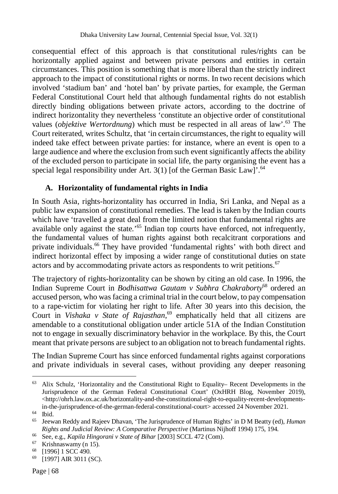consequential effect of this approach is that constitutional rules/rights can be horizontally applied against and between private persons and entities in certain circumstances. This position is something that is more liberal than the strictly indirect approach to the impact of constitutional rights or norms. In two recent decisions which involved 'stadium ban' and 'hotel ban' by private parties, for example, the German Federal Constitutional Court held that although fundamental rights do not establish directly binding obligations between private actors, according to the doctrine of indirect horizontality they nevertheless 'constitute an objective order of constitutional values (*objektive Wertordnung*) which must be respected in all areas of law'.<sup>63</sup> The Court reiterated, writes Schultz, that 'in certain circumstances, the right to equality will indeed take effect between private parties: for instance, where an event is open to a large audience and where the exclusion from such event significantly affects the ability of the excluded person to participate in social life, the party organising the event has a special legal responsibility under Art.  $3(1)$  [of the German Basic Law]'.<sup>64</sup>

# **A. Horizontality of fundamental rights in India**

In South Asia, rights-horizontality has occurred in India, Sri Lanka, and Nepal as a public law expansion of constitutional remedies. The lead is taken by the Indian courts which have 'travelled a great deal from the limited notion that fundamental rights are available only against the state.<sup>'65</sup> Indian top courts have enforced, not infrequently, the fundamental values of human rights against both recalcitrant corporations and private individuals.<sup>66</sup> They have provided 'fundamental rights' with both direct and indirect horizontal effect by imposing a wider range of constitutional duties on state actors and by accommodating private actors as respondents to writ petitions.<sup>67</sup>

The trajectory of rights-horizontality can be shown by citing an old case. In 1996, the Indian Supreme Court in *Bodhisattwa Gautam v Subhra Chakraborty*<sup>68</sup> ordered an accused person, who was facing a criminal trial in the court below, to pay compensation to a rape-victim for violating her right to life. After 30 years into this decision, the Court in *Vishaka v State of Rajasthan*, <sup>69</sup> emphatically held that all citizens are amendable to a constitutional obligation under article 51A of the Indian Constitution not to engage in sexually discriminatory behavior in the workplace. By this, the Court meant that private persons are subject to an obligation not to breach fundamental rights.

The Indian Supreme Court has since enforced fundamental rights against corporations and private individuals in several cases, without providing any deeper reasoning

 $\overline{a}$ <sup>63</sup> Alix Schulz, 'Horizontality and the Constitutional Right to Equality– Recent Developments in the Jurisprudence of the German Federal Constitutional Court' (OxHRH Blog, November 2019), <http://ohrh.law.ox.ac.uk/horizontality-and-the-constitutional-right-to-equality-recent-developmentsin-the-jurisprudence-of-the-german-federal-constitutional-court> accessed 24 November 2021.

<sup>64</sup> Ibid.

<sup>65</sup> Jeewan Reddy and Rajeev Dhavan, 'The Jurisprudence of Human Rights' in D M Beatty (ed), *Human Rights and Judicial Review: A Comparative Perspective* (Martinus Nijhoff 1994) 175, 194.

<sup>66</sup> See, e.g., *Kapila Hingorani v State of Bihar* [2003] SCCL 472 (Com).

<sup>67</sup> Krishnaswamy (n 15).

<sup>68</sup> [1996] 1 SCC 490.

<sup>69</sup> [1997] AIR 3011 (SC).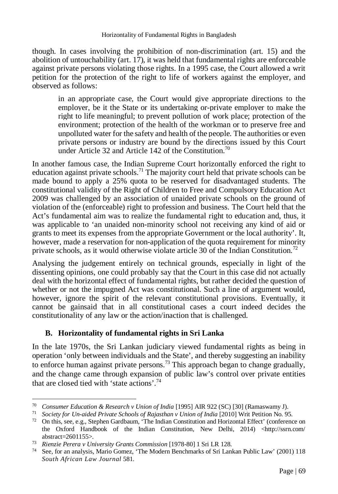though. In cases involving the prohibition of non-discrimination (art. 15) and the abolition of untouchability (art. 17), it was held that fundamental rights are enforceable against private persons violating those rights. In a 1995 case, the Court allowed a writ petition for the protection of the right to life of workers against the employer, and observed as follows:

in an appropriate case, the Court would give appropriate directions to the employer, be it the State or its undertaking or-private employer to make the right to life meaningful; to prevent pollution of work place; protection of the environment; protection of the health of the workman or to preserve free and unpolluted water for the safety and health of the people. The authorities or even private persons or industry are bound by the directions issued by this Court under Article 32 and Article 142 of the Constitution.<sup>70</sup>

In another famous case, the Indian Supreme Court horizontally enforced the right to education against private schools.<sup>71</sup> The majority court held that private schools can be made bound to apply a 25% quota to be reserved for disadvantaged students. The constitutional validity of the Right of Children to Free and Compulsory Education Act 2009 was challenged by an association of unaided private schools on the ground of violation of the (enforceable) right to profession and business. The Court held that the Act's fundamental aim was to realize the fundamental right to education and, thus, it was applicable to 'an unaided non-minority school not receiving any kind of aid or grants to meet its expenses from the appropriate Government or the local authority'. It, however, made a reservation for non-application of the quota requirement for minority private schools, as it would otherwise violate article 30 of the Indian Constitution.<sup>72</sup>

Analysing the judgement entirely on technical grounds, especially in light of the dissenting opinions, one could probably say that the Court in this case did not actually deal with the horizontal effect of fundamental rights, but rather decided the question of whether or not the impugned Act was constitutional. Such a line of argument would, however, ignore the spirit of the relevant constitutional provisions. Eventually, it cannot be gainsaid that in all constitutional cases a court indeed decides the constitutionality of any law or the action/inaction that is challenged.

#### **B. Horizontality of fundamental rights in Sri Lanka**

In the late 1970s, the Sri Lankan judiciary viewed fundamental rights as being in operation 'only between individuals and the State', and thereby suggesting an inability to enforce human against private persons.<sup>73</sup> This approach began to change gradually, and the change came through expansion of public law's control over private entities that are closed tied with 'state actions'.<sup>74</sup>

<sup>70</sup> <sup>70</sup> *Consumer Education & Research v Union of India* [1995] AIR 922 (SC) [30] (Ramaswamy J).

<sup>&</sup>lt;sup>71</sup> Society for Un-aided Private Schools of Rajasthan v Union of India [2010] Writ Petition No. 95.

<sup>72</sup> On this, see, e.g., Stephen Gardbaum, 'The Indian Constitution and Horizontal Effect' (conference on the Oxford Handbook of the Indian Constitution, New Delhi, 2014) <http://ssrn.com/ abstract=2601155>.

<sup>73</sup> *Rienzie Perera v University Grants Commission* [1978-80] 1 Sri LR 128.

<sup>74</sup> See, for an analysis, Mario Gomez, 'The Modern Benchmarks of Sri Lankan Public Law' (2001) 118 *South African Law Journal* 581.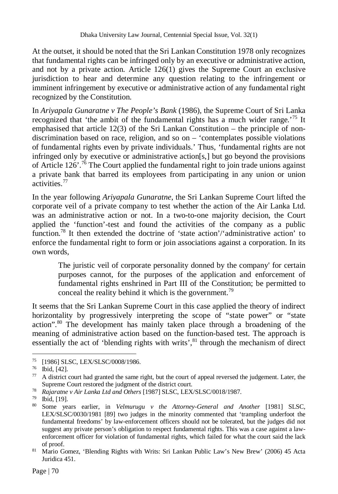At the outset, it should be noted that the Sri Lankan Constitution 1978 only recognizes that fundamental rights can be infringed only by an executive or administrative action, and not by a private action. Article  $126(1)$  gives the Supreme Court an exclusive jurisdiction to hear and determine any question relating to the infringement or imminent infringement by executive or administrative action of any fundamental right recognized by the Constitution.

In *Ariyapala Gunaratne v The People's Bank* (1986)*,* the Supreme Court of Sri Lanka recognized that 'the ambit of the fundamental rights has a much wider range.'<sup>75</sup> It emphasised that article 12(3) of the Sri Lankan Constitution – the principle of nondiscrimination based on race, religion, and so on – 'contemplates possible violations of fundamental rights even by private individuals.' Thus, 'fundamental rights are not infringed only by executive or administrative action[s,] but go beyond the provisions of Article  $126'$ .<sup>76</sup> The Court applied the fundamental right to join trade unions against a private bank that barred its employees from participating in any union or union activities.<sup>77</sup>

In the year following *Ariyapala Gunaratne*, the Sri Lankan Supreme Court lifted the corporate veil of a private company to test whether the action of the Air Lanka Ltd. was an administrative action or not. In a two-to-one majority decision, the Court applied the 'function'-test and found the activities of the company as a public function.<sup>78</sup> It then extended the doctrine of 'state action'/'administrative action' to enforce the fundamental right to form or join associations against a corporation. In its own words,

The juristic veil of corporate personality donned by the company' for certain purposes cannot, for the purposes of the application and enforcement of fundamental rights enshrined in Part III of the Constitution; be permitted to conceal the reality behind it which is the government.<sup>79</sup>

It seems that the Sri Lankan Supreme Court in this case applied the theory of indirect horizontality by progressively interpreting the scope of "state power" or "state action".<sup>80</sup> The development has mainly taken place through a broadening of the meaning of administrative action based on the function-based test. The approach is essentially the act of 'blending rights with writs',<sup>81</sup> through the mechanism of direct

 $\overline{a}$ <sup>75</sup> [1986] SLSC, LEX/SLSC/0008/1986.

<sup>76</sup> Ibid, [42].

 $77$  A district court had granted the same right, but the court of appeal reversed the judgement. Later, the Supreme Court restored the judgment of the district court.

<sup>78</sup> *Rajaratne v Air Lanka Ltd and Others* [1987] SLSC, LEX/SLSC/0018/1987.

<sup>79</sup> Ibid, [19].

<sup>80</sup> Some years earlier, in *Velmurugu v the Attorney-General and Another* [1981] SLSC, LEX/SLSC/0030/1981 [89] two judges in the minority commented that 'trampling underfoot the fundamental freedoms' by law-enforcement officers should not be tolerated, but the judges did not suggest any private person's obligation to respect fundamental rights. This was a case against a lawenforcement officer for violation of fundamental rights, which failed for what the court said the lack of proof.

<sup>81</sup> Mario Gomez, 'Blending Rights with Writs: Sri Lankan Public Law's New Brew' (2006) 45 Acta Juridica 451.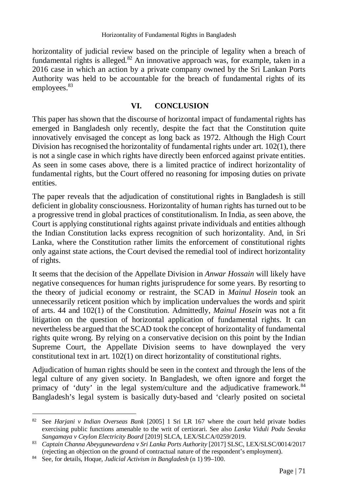horizontality of judicial review based on the principle of legality when a breach of fundamental rights is alleged. $82$  An innovative approach was, for example, taken in a 2016 case in which an action by a private company owned by the Sri Lankan Ports Authority was held to be accountable for the breach of fundamental rights of its employees.<sup>83</sup>

#### **VI. CONCLUSION**

This paper has shown that the discourse of horizontal impact of fundamental rights has emerged in Bangladesh only recently, despite the fact that the Constitution quite innovatively envisaged the concept as long back as 1972. Although the High Court Division has recognised the horizontality of fundamental rights under art.  $102(1)$ , there is not a single case in which rights have directly been enforced against private entities. As seen in some cases above, there is a limited practice of indirect horizontality of fundamental rights, but the Court offered no reasoning for imposing duties on private entities.

The paper reveals that the adjudication of constitutional rights in Bangladesh is still deficient in globality consciousness. Horizontality of human rights has turned out to be a progressive trend in global practices of constitutionalism. In India, as seen above, the Court is applying constitutional rights against private individuals and entities although the Indian Constitution lacks express recognition of such horizontality. And, in Sri Lanka, where the Constitution rather limits the enforcement of constitutional rights only against state actions, the Court devised the remedial tool of indirect horizontality of rights.

It seems that the decision of the Appellate Division in *Anwar Hossain* will likely have negative consequences for human rights jurisprudence for some years. By resorting to the theory of judicial economy or restraint, the SCAD in *Mainul Hosein* took an unnecessarily reticent position which by implication undervalues the words and spirit of arts. 44 and 102(1) of the Constitution. Admittedly, *Mainul Hosein* was not a fit litigation on the question of horizontal application of fundamental rights. It can nevertheless be argued that the SCAD took the concept of horizontality of fundamental rights quite wrong. By relying on a conservative decision on this point by the Indian Supreme Court, the Appellate Division seems to have downplayed the very constitutional text in art. 102(1) on direct horizontality of constitutional rights.

Adjudication of human rights should be seen in the context and through the lens of the legal culture of any given society. In Bangladesh, we often ignore and forget the primacy of 'duty' in the legal system/culture and the adjudicative framework.<sup>84</sup> Bangladesh's legal system is basically duty-based and 'clearly posited on societal

 $\overline{a}$ <sup>82</sup> See *Harjani v Indian Overseas Bank* [2005] 1 Sri LR 167 where the court held private bodies exercising public functions amenable to the writ of certiorari. See also *Lanka Viduli Podu Sevaka Sangamaya v Ceylon Electricity Board* [2019] SLCA, LEX/SLCA/0259/2019.

<sup>83</sup> Captain Channa Abeygunewardena v Sri Lanka Ports Authority [2017] SLSC, LEX/SLSC/0014/2017 (rejecting an objection on the ground of contractual nature of the respondent's employment).

<sup>84</sup> See, for details, Hoque, *Judicial Activism in Bangladesh* (n 1) 99–100.